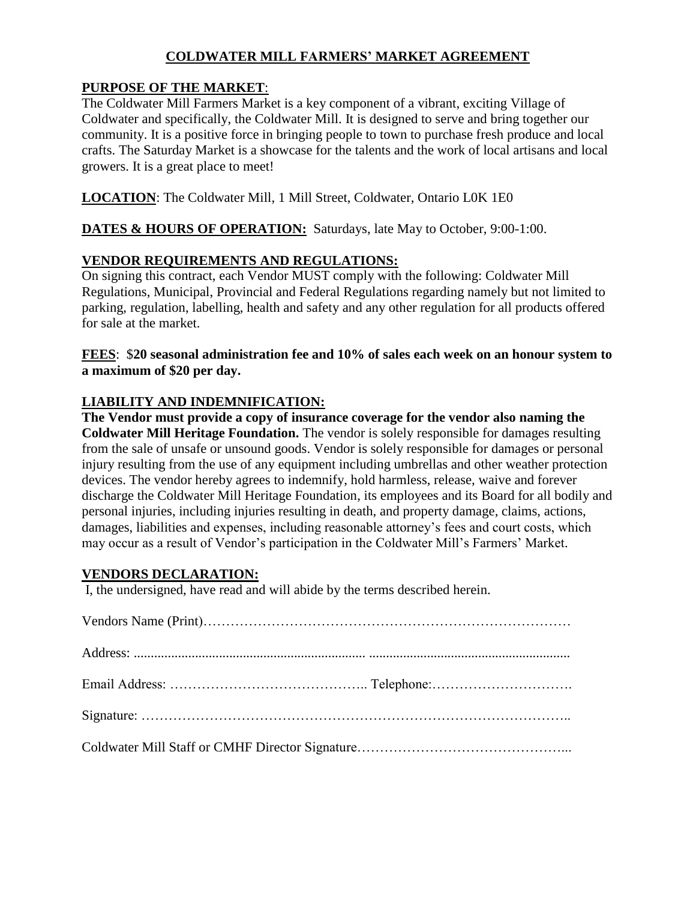### **COLDWATER MILL FARMERS' MARKET AGREEMENT**

#### **PURPOSE OF THE MARKET**:

The Coldwater Mill Farmers Market is a key component of a vibrant, exciting Village of Coldwater and specifically, the Coldwater Mill. It is designed to serve and bring together our community. It is a positive force in bringing people to town to purchase fresh produce and local crafts. The Saturday Market is a showcase for the talents and the work of local artisans and local growers. It is a great place to meet!

**LOCATION**: The Coldwater Mill, 1 Mill Street, Coldwater, Ontario L0K 1E0

**DATES & HOURS OF OPERATION:** Saturdays, late May to October, 9:00-1:00.

### **VENDOR REQUIREMENTS AND REGULATIONS:**

On signing this contract, each Vendor MUST comply with the following: Coldwater Mill Regulations, Municipal, Provincial and Federal Regulations regarding namely but not limited to parking, regulation, labelling, health and safety and any other regulation for all products offered for sale at the market.

**FEES**: \$**20 seasonal administration fee and 10% of sales each week on an honour system to a maximum of \$20 per day.**

### **LIABILITY AND INDEMNIFICATION:**

**The Vendor must provide a copy of insurance coverage for the vendor also naming the Coldwater Mill Heritage Foundation.** The vendor is solely responsible for damages resulting from the sale of unsafe or unsound goods. Vendor is solely responsible for damages or personal injury resulting from the use of any equipment including umbrellas and other weather protection devices. The vendor hereby agrees to indemnify, hold harmless, release, waive and forever discharge the Coldwater Mill Heritage Foundation, its employees and its Board for all bodily and personal injuries, including injuries resulting in death, and property damage, claims, actions, damages, liabilities and expenses, including reasonable attorney's fees and court costs, which may occur as a result of Vendor's participation in the Coldwater Mill's Farmers' Market.

### **VENDORS DECLARATION:**

I, the undersigned, have read and will abide by the terms described herein.